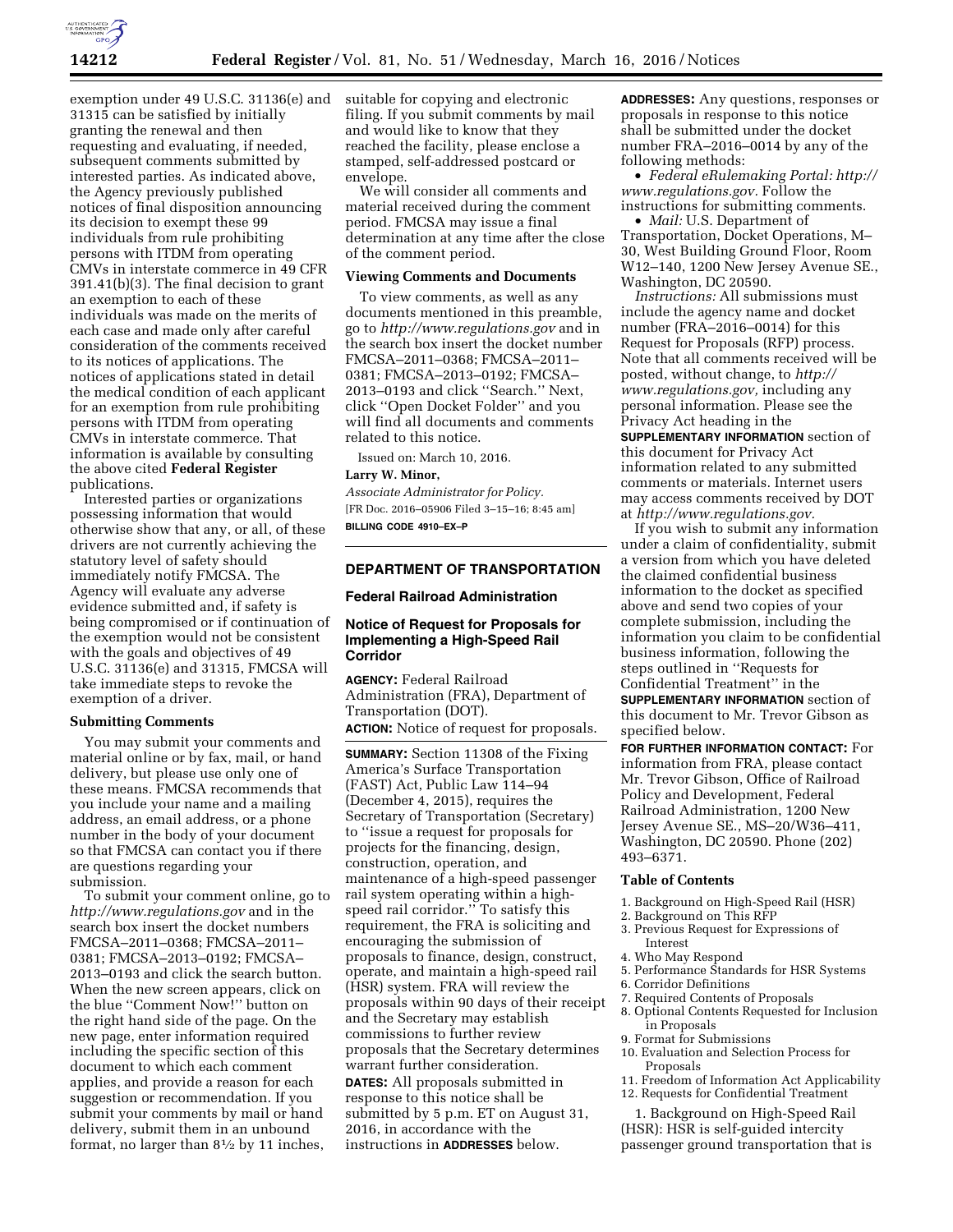

exemption under 49 U.S.C. 31136(e) and 31315 can be satisfied by initially granting the renewal and then requesting and evaluating, if needed, subsequent comments submitted by interested parties. As indicated above, the Agency previously published notices of final disposition announcing its decision to exempt these 99 individuals from rule prohibiting persons with ITDM from operating CMVs in interstate commerce in 49 CFR 391.41(b)(3). The final decision to grant an exemption to each of these individuals was made on the merits of each case and made only after careful consideration of the comments received to its notices of applications. The notices of applications stated in detail the medical condition of each applicant for an exemption from rule prohibiting persons with ITDM from operating CMVs in interstate commerce. That information is available by consulting the above cited **Federal Register**  publications.

Interested parties or organizations possessing information that would otherwise show that any, or all, of these drivers are not currently achieving the statutory level of safety should immediately notify FMCSA. The Agency will evaluate any adverse evidence submitted and, if safety is being compromised or if continuation of the exemption would not be consistent with the goals and objectives of 49 U.S.C. 31136(e) and 31315, FMCSA will take immediate steps to revoke the exemption of a driver.

## **Submitting Comments**

You may submit your comments and material online or by fax, mail, or hand delivery, but please use only one of these means. FMCSA recommends that you include your name and a mailing address, an email address, or a phone number in the body of your document so that FMCSA can contact you if there are questions regarding your submission.

To submit your comment online, go to *<http://www.regulations.gov>* and in the search box insert the docket numbers FMCSA–2011–0368; FMCSA–2011– 0381; FMCSA–2013–0192; FMCSA– 2013–0193 and click the search button. When the new screen appears, click on the blue ''Comment Now!'' button on the right hand side of the page. On the new page, enter information required including the specific section of this document to which each comment applies, and provide a reason for each suggestion or recommendation. If you submit your comments by mail or hand delivery, submit them in an unbound format, no larger than  $8\frac{1}{2}$  by 11 inches,

suitable for copying and electronic filing. If you submit comments by mail and would like to know that they reached the facility, please enclose a stamped, self-addressed postcard or envelope.

We will consider all comments and material received during the comment period. FMCSA may issue a final determination at any time after the close of the comment period.

#### **Viewing Comments and Documents**

To view comments, as well as any documents mentioned in this preamble, go to *<http://www.regulations.gov>*and in the search box insert the docket number FMCSA–2011–0368; FMCSA–2011– 0381; FMCSA–2013–0192; FMCSA– 2013–0193 and click ''Search.'' Next, click ''Open Docket Folder'' and you will find all documents and comments related to this notice.

Issued on: March 10, 2016.

#### **Larry W. Minor,**

*Associate Administrator for Policy.*  [FR Doc. 2016–05906 Filed 3–15–16; 8:45 am] **BILLING CODE 4910–EX–P** 

#### **DEPARTMENT OF TRANSPORTATION**

### **Federal Railroad Administration**

# **Notice of Request for Proposals for Implementing a High-Speed Rail Corridor**

**AGENCY:** Federal Railroad Administration (FRA), Department of Transportation (DOT). **ACTION:** Notice of request for proposals.

**SUMMARY:** Section 11308 of the Fixing America's Surface Transportation (FAST) Act, Public Law 114–94 (December 4, 2015), requires the Secretary of Transportation (Secretary) to ''issue a request for proposals for projects for the financing, design, construction, operation, and maintenance of a high-speed passenger rail system operating within a highspeed rail corridor.'' To satisfy this requirement, the FRA is soliciting and encouraging the submission of proposals to finance, design, construct, operate, and maintain a high-speed rail (HSR) system. FRA will review the proposals within 90 days of their receipt and the Secretary may establish commissions to further review proposals that the Secretary determines warrant further consideration. **DATES:** All proposals submitted in response to this notice shall be submitted by 5 p.m. ET on August 31, 2016, in accordance with the instructions in **ADDRESSES** below.

**ADDRESSES:** Any questions, responses or proposals in response to this notice shall be submitted under the docket number FRA–2016–0014 by any of the following methods:

• *Federal eRulemaking Portal: [http://](http://www.regulations.gov)  [www.regulations.gov.](http://www.regulations.gov)* Follow the instructions for submitting comments.

• *Mail:* U.S. Department of Transportation, Docket Operations, M– 30, West Building Ground Floor, Room W12–140, 1200 New Jersey Avenue SE., Washington, DC 20590.

*Instructions:* All submissions must include the agency name and docket number (FRA–2016–0014) for this Request for Proposals (RFP) process. Note that all comments received will be posted, without change, to *[http://](http://www.regulations.gov) [www.regulations.gov,](http://www.regulations.gov)* including any personal information. Please see the Privacy Act heading in the **SUPPLEMENTARY INFORMATION** section of this document for Privacy Act information related to any submitted comments or materials. Internet users may access comments received by DOT at *[http://www.regulations.gov.](http://www.regulations.gov)* 

If you wish to submit any information under a claim of confidentiality, submit a version from which you have deleted the claimed confidential business information to the docket as specified above and send two copies of your complete submission, including the information you claim to be confidential business information, following the steps outlined in ''Requests for Confidential Treatment'' in the **SUPPLEMENTARY INFORMATION** section of this document to Mr. Trevor Gibson as specified below.

**FOR FURTHER INFORMATION CONTACT:** For information from FRA, please contact Mr. Trevor Gibson, Office of Railroad Policy and Development, Federal Railroad Administration, 1200 New Jersey Avenue SE., MS–20/W36–411, Washington, DC 20590. Phone (202) 493–6371.

## **Table of Contents**

- 1. Background on High-Speed Rail (HSR)
- 2. Background on This RFP
- 3. Previous Request for Expressions of Interest
- 4. Who May Respond
- 5. Performance Standards for HSR Systems
- 6. Corridor Definitions
- 7. Required Contents of Proposals
- 8. Optional Contents Requested for Inclusion in Proposals
- 9. Format for Submissions
- 10. Evaluation and Selection Process for Proposals
- 11. Freedom of Information Act Applicability
- 12. Requests for Confidential Treatment

1. Background on High-Speed Rail (HSR): HSR is self-guided intercity passenger ground transportation that is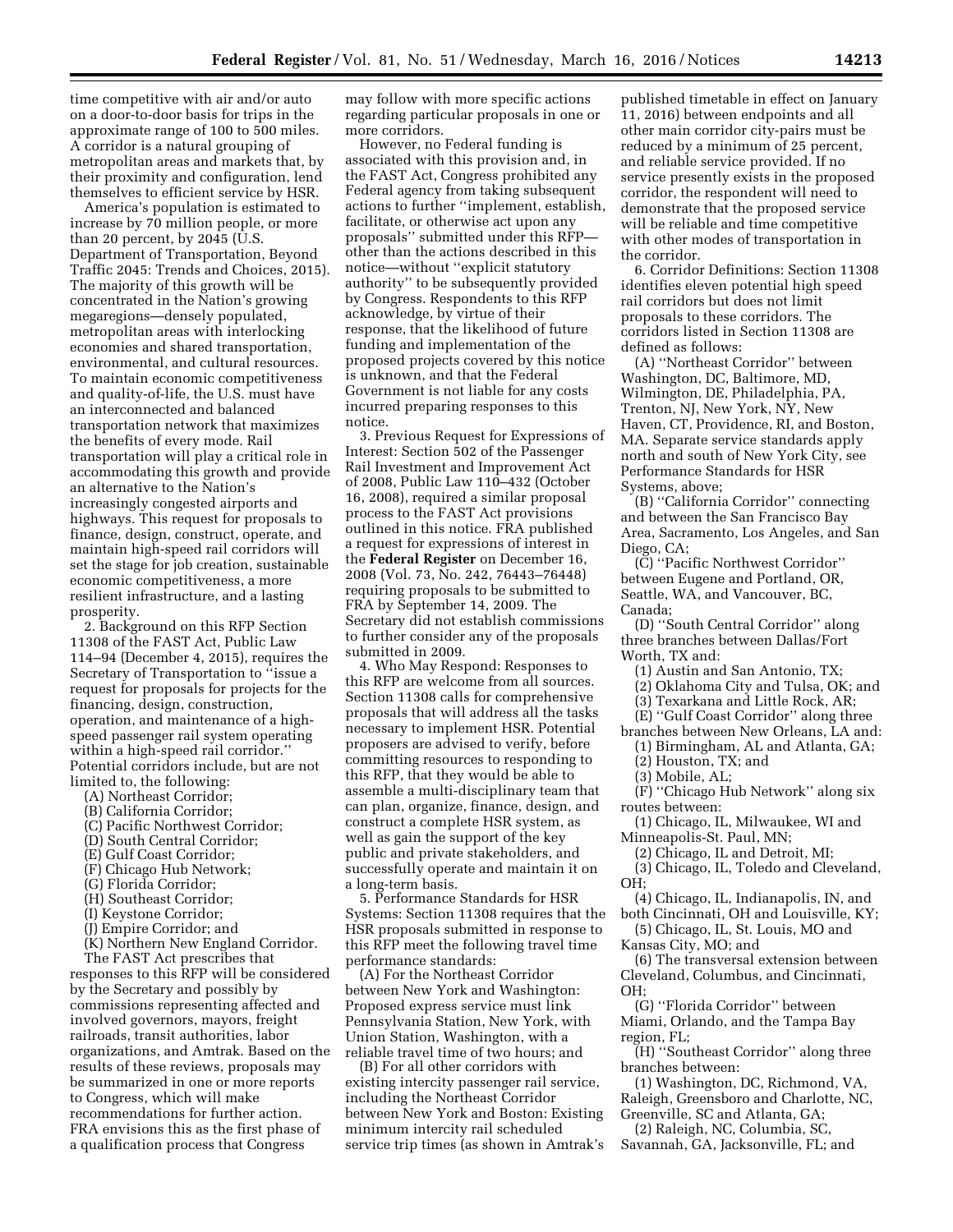time competitive with air and/or auto on a door-to-door basis for trips in the approximate range of 100 to 500 miles. A corridor is a natural grouping of metropolitan areas and markets that, by their proximity and configuration, lend themselves to efficient service by HSR.

America's population is estimated to increase by 70 million people, or more than 20 percent, by 2045 (U.S. Department of Transportation, Beyond Traffic 2045: Trends and Choices, 2015). The majority of this growth will be concentrated in the Nation's growing megaregions—densely populated, metropolitan areas with interlocking economies and shared transportation, environmental, and cultural resources. To maintain economic competitiveness and quality-of-life, the U.S. must have an interconnected and balanced transportation network that maximizes the benefits of every mode. Rail transportation will play a critical role in accommodating this growth and provide an alternative to the Nation's increasingly congested airports and highways. This request for proposals to finance, design, construct, operate, and maintain high-speed rail corridors will set the stage for job creation, sustainable economic competitiveness, a more resilient infrastructure, and a lasting prosperity.

2. Background on this RFP Section 11308 of the FAST Act, Public Law 114–94 (December 4, 2015), requires the Secretary of Transportation to ''issue a request for proposals for projects for the financing, design, construction, operation, and maintenance of a highspeed passenger rail system operating within a high-speed rail corridor.'' Potential corridors include, but are not limited to, the following:

- (A) Northeast Corridor;
- (B) California Corridor;
- (C) Pacific Northwest Corridor;
- (D) South Central Corridor;
- (E) Gulf Coast Corridor;
- (F) Chicago Hub Network;
- (G) Florida Corridor;
- (H) Southeast Corridor;
- (I) Keystone Corridor;
- (J) Empire Corridor; and
- (K) Northern New England Corridor.

The FAST Act prescribes that responses to this RFP will be considered by the Secretary and possibly by commissions representing affected and involved governors, mayors, freight railroads, transit authorities, labor organizations, and Amtrak. Based on the results of these reviews, proposals may be summarized in one or more reports to Congress, which will make recommendations for further action. FRA envisions this as the first phase of a qualification process that Congress

may follow with more specific actions regarding particular proposals in one or more corridors.

However, no Federal funding is associated with this provision and, in the FAST Act, Congress prohibited any Federal agency from taking subsequent actions to further ''implement, establish, facilitate, or otherwise act upon any proposals'' submitted under this RFP other than the actions described in this notice—without ''explicit statutory authority'' to be subsequently provided by Congress. Respondents to this RFP acknowledge, by virtue of their response, that the likelihood of future funding and implementation of the proposed projects covered by this notice is unknown, and that the Federal Government is not liable for any costs incurred preparing responses to this notice.

3. Previous Request for Expressions of Interest: Section 502 of the Passenger Rail Investment and Improvement Act of 2008, Public Law 110–432 (October 16, 2008), required a similar proposal process to the FAST Act provisions outlined in this notice. FRA published a request for expressions of interest in the **Federal Register** on December 16, 2008 (Vol. 73, No. 242, 76443–76448) requiring proposals to be submitted to FRA by September 14, 2009. The Secretary did not establish commissions to further consider any of the proposals submitted in 2009.

4. Who May Respond: Responses to this RFP are welcome from all sources. Section 11308 calls for comprehensive proposals that will address all the tasks necessary to implement HSR. Potential proposers are advised to verify, before committing resources to responding to this RFP, that they would be able to assemble a multi-disciplinary team that can plan, organize, finance, design, and construct a complete HSR system, as well as gain the support of the key public and private stakeholders, and successfully operate and maintain it on a long-term basis.

5. Performance Standards for HSR Systems: Section 11308 requires that the HSR proposals submitted in response to this RFP meet the following travel time performance standards:

(A) For the Northeast Corridor between New York and Washington: Proposed express service must link Pennsylvania Station, New York, with Union Station, Washington, with a reliable travel time of two hours; and

(B) For all other corridors with existing intercity passenger rail service, including the Northeast Corridor between New York and Boston: Existing minimum intercity rail scheduled service trip times (as shown in Amtrak's

published timetable in effect on January 11, 2016) between endpoints and all other main corridor city-pairs must be reduced by a minimum of 25 percent, and reliable service provided. If no service presently exists in the proposed corridor, the respondent will need to demonstrate that the proposed service will be reliable and time competitive with other modes of transportation in the corridor.

6. Corridor Definitions: Section 11308 identifies eleven potential high speed rail corridors but does not limit proposals to these corridors. The corridors listed in Section 11308 are defined as follows:

(A) ''Northeast Corridor'' between Washington, DC, Baltimore, MD, Wilmington, DE, Philadelphia, PA, Trenton, NJ, New York, NY, New Haven, CT, Providence, RI, and Boston, MA. Separate service standards apply north and south of New York City, see Performance Standards for HSR Systems, above;

(B) ''California Corridor'' connecting and between the San Francisco Bay Area, Sacramento, Los Angeles, and San Diego, CA;

(C) ''Pacific Northwest Corridor'' between Eugene and Portland, OR, Seattle, WA, and Vancouver, BC, Canada;

(D) ''South Central Corridor'' along three branches between Dallas/Fort Worth, TX and:

(1) Austin and San Antonio, TX;

- (2) Oklahoma City and Tulsa, OK; and
- (3) Texarkana and Little Rock, AR;
- (E) ''Gulf Coast Corridor'' along three

branches between New Orleans, LA and:

- (1) Birmingham, AL and Atlanta, GA;
- (2) Houston, TX; and
- (3) Mobile, AL;

(F) ''Chicago Hub Network'' along six routes between:

(1) Chicago, IL, Milwaukee, WI and Minneapolis-St. Paul, MN;

(2) Chicago, IL and Detroit, MI;

(3) Chicago, IL, Toledo and Cleveland, OH;

(4) Chicago, IL, Indianapolis, IN, and both Cincinnati, OH and Louisville, KY;

(5) Chicago, IL, St. Louis, MO and Kansas City, MO; and

(6) The transversal extension between Cleveland, Columbus, and Cincinnati,  $OH<sup>3</sup>$ 

(G) ''Florida Corridor'' between Miami, Orlando, and the Tampa Bay region, FL;

(H) ''Southeast Corridor'' along three branches between:

(1) Washington, DC, Richmond, VA, Raleigh, Greensboro and Charlotte, NC, Greenville, SC and Atlanta, GA;

(2) Raleigh, NC, Columbia, SC, Savannah, GA, Jacksonville, FL; and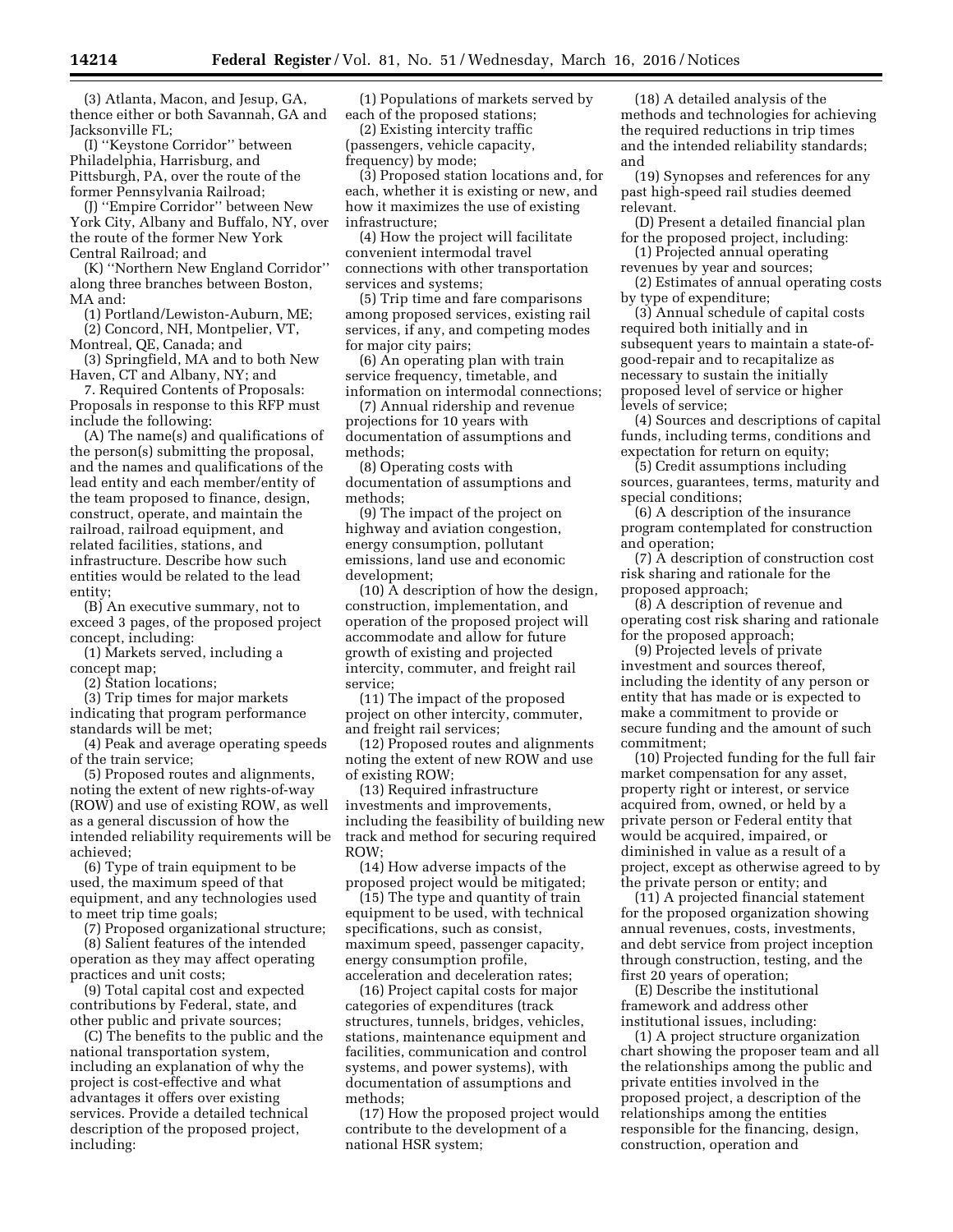(3) Atlanta, Macon, and Jesup, GA, thence either or both Savannah, GA and Jacksonville FL;

(I) ''Keystone Corridor'' between Philadelphia, Harrisburg, and Pittsburgh, PA, over the route of the former Pennsylvania Railroad;

(J) ''Empire Corridor'' between New York City, Albany and Buffalo, NY, over the route of the former New York Central Railroad; and

(K) ''Northern New England Corridor'' along three branches between Boston, MA and:

(1) Portland/Lewiston-Auburn, ME; (2) Concord, NH, Montpelier, VT, Montreal, QE, Canada; and

(3) Springfield, MA and to both New Haven, CT and Albany, NY; and

7. Required Contents of Proposals: Proposals in response to this RFP must include the following:

(A) The name(s) and qualifications of the person(s) submitting the proposal, and the names and qualifications of the lead entity and each member/entity of the team proposed to finance, design, construct, operate, and maintain the railroad, railroad equipment, and related facilities, stations, and infrastructure. Describe how such entities would be related to the lead entity;

(B) An executive summary, not to exceed 3 pages, of the proposed project concept, including:

(1) Markets served, including a concept map;

(2) Station locations;

(3) Trip times for major markets indicating that program performance standards will be met;

(4) Peak and average operating speeds of the train service;

(5) Proposed routes and alignments, noting the extent of new rights-of-way (ROW) and use of existing ROW, as well as a general discussion of how the intended reliability requirements will be achieved;

(6) Type of train equipment to be used, the maximum speed of that equipment, and any technologies used to meet trip time goals;

(7) Proposed organizational structure;

(8) Salient features of the intended operation as they may affect operating practices and unit costs;

(9) Total capital cost and expected contributions by Federal, state, and other public and private sources;

(C) The benefits to the public and the national transportation system, including an explanation of why the project is cost-effective and what advantages it offers over existing services. Provide a detailed technical description of the proposed project, including:

(1) Populations of markets served by each of the proposed stations;

(2) Existing intercity traffic (passengers, vehicle capacity, frequency) by mode;

(3) Proposed station locations and, for each, whether it is existing or new, and how it maximizes the use of existing infrastructure;

(4) How the project will facilitate convenient intermodal travel connections with other transportation services and systems;

(5) Trip time and fare comparisons among proposed services, existing rail services, if any, and competing modes for major city pairs;

(6) An operating plan with train service frequency, timetable, and information on intermodal connections;

(7) Annual ridership and revenue projections for 10 years with documentation of assumptions and methods;

(8) Operating costs with documentation of assumptions and methods;

(9) The impact of the project on highway and aviation congestion, energy consumption, pollutant emissions, land use and economic development;

(10) A description of how the design, construction, implementation, and operation of the proposed project will accommodate and allow for future growth of existing and projected intercity, commuter, and freight rail service;

(11) The impact of the proposed project on other intercity, commuter, and freight rail services;

(12) Proposed routes and alignments noting the extent of new ROW and use of existing ROW;

(13) Required infrastructure investments and improvements, including the feasibility of building new track and method for securing required ROW;

(14) How adverse impacts of the proposed project would be mitigated;

(15) The type and quantity of train equipment to be used, with technical specifications, such as consist, maximum speed, passenger capacity, energy consumption profile, acceleration and deceleration rates;

(16) Project capital costs for major categories of expenditures (track structures, tunnels, bridges, vehicles, stations, maintenance equipment and facilities, communication and control systems, and power systems), with documentation of assumptions and methods;

(17) How the proposed project would contribute to the development of a national HSR system;

(18) A detailed analysis of the methods and technologies for achieving the required reductions in trip times and the intended reliability standards; and

(19) Synopses and references for any past high-speed rail studies deemed relevant.

(D) Present a detailed financial plan for the proposed project, including:

(1) Projected annual operating revenues by year and sources;

(2) Estimates of annual operating costs by type of expenditure;

(3) Annual schedule of capital costs required both initially and in subsequent years to maintain a state-ofgood-repair and to recapitalize as necessary to sustain the initially proposed level of service or higher levels of service;

(4) Sources and descriptions of capital funds, including terms, conditions and expectation for return on equity;

(5) Credit assumptions including sources, guarantees, terms, maturity and special conditions;

(6) A description of the insurance program contemplated for construction and operation;

(7) A description of construction cost risk sharing and rationale for the proposed approach;

(8) A description of revenue and operating cost risk sharing and rationale for the proposed approach;

(9) Projected levels of private investment and sources thereof, including the identity of any person or entity that has made or is expected to make a commitment to provide or secure funding and the amount of such commitment;

(10) Projected funding for the full fair market compensation for any asset, property right or interest, or service acquired from, owned, or held by a private person or Federal entity that would be acquired, impaired, or diminished in value as a result of a project, except as otherwise agreed to by the private person or entity; and

(11) A projected financial statement for the proposed organization showing annual revenues, costs, investments, and debt service from project inception through construction, testing, and the first 20 years of operation;

(E) Describe the institutional framework and address other institutional issues, including:

(1) A project structure organization chart showing the proposer team and all the relationships among the public and private entities involved in the proposed project, a description of the relationships among the entities responsible for the financing, design, construction, operation and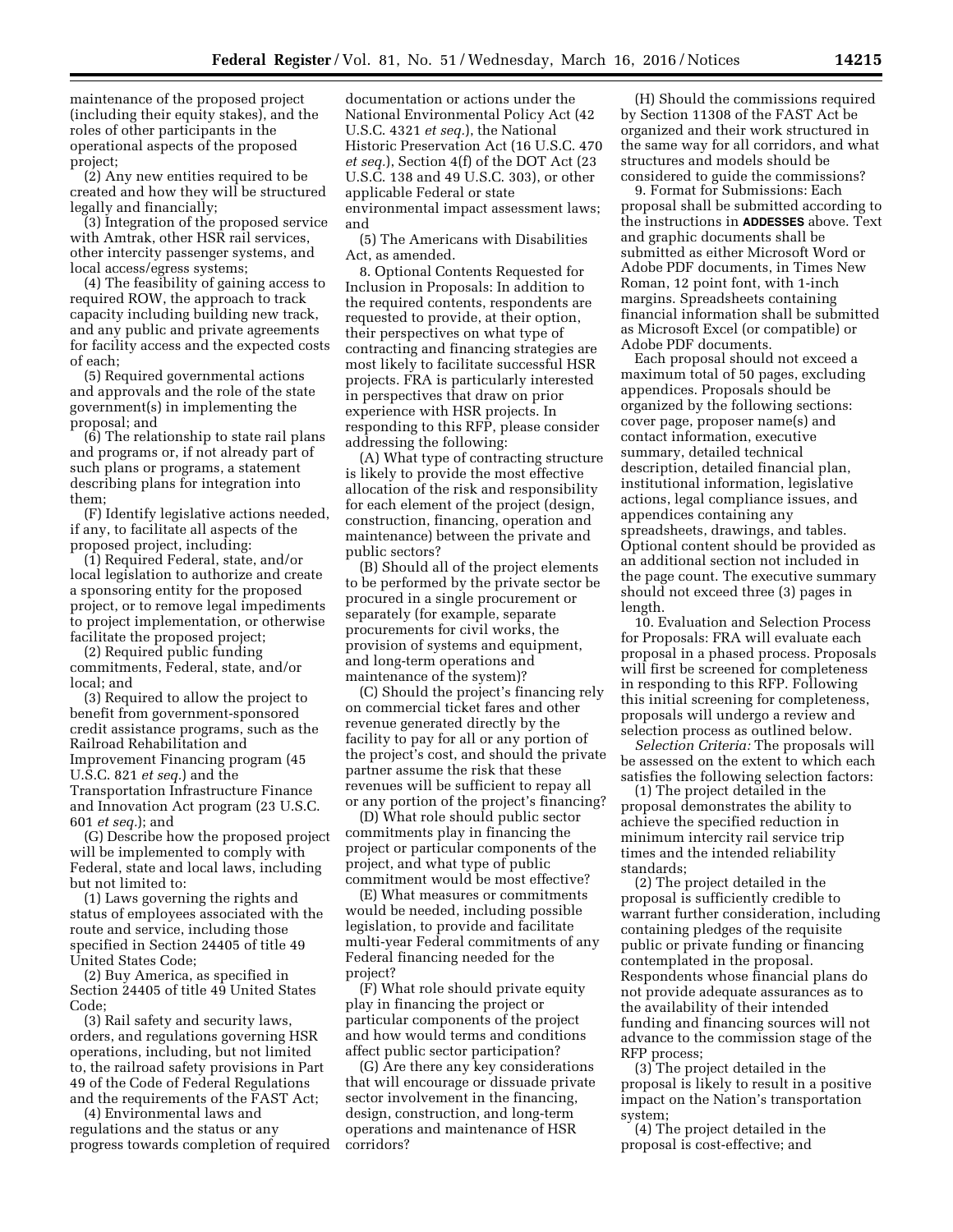maintenance of the proposed project (including their equity stakes), and the roles of other participants in the operational aspects of the proposed project;

(2) Any new entities required to be created and how they will be structured legally and financially;

(3) Integration of the proposed service with Amtrak, other HSR rail services, other intercity passenger systems, and local access/egress systems;

(4) The feasibility of gaining access to required ROW, the approach to track capacity including building new track, and any public and private agreements for facility access and the expected costs of each;

(5) Required governmental actions and approvals and the role of the state government(s) in implementing the proposal; and

(6) The relationship to state rail plans and programs or, if not already part of such plans or programs, a statement describing plans for integration into them;

(F) Identify legislative actions needed, if any, to facilitate all aspects of the proposed project, including:

(1) Required Federal, state, and/or local legislation to authorize and create a sponsoring entity for the proposed project, or to remove legal impediments to project implementation, or otherwise facilitate the proposed project;

(2) Required public funding commitments, Federal, state, and/or local; and

(3) Required to allow the project to benefit from government-sponsored credit assistance programs, such as the Railroad Rehabilitation and Improvement Financing program (45 U.S.C. 821 *et seq.*) and the Transportation Infrastructure Finance and Innovation Act program (23 U.S.C. 601 *et seq.*); and

(G) Describe how the proposed project will be implemented to comply with Federal, state and local laws, including but not limited to:

(1) Laws governing the rights and status of employees associated with the route and service, including those specified in Section 24405 of title 49 United States Code;

(2) Buy America, as specified in Section 24405 of title 49 United States Code;

(3) Rail safety and security laws, orders, and regulations governing HSR operations, including, but not limited to, the railroad safety provisions in Part 49 of the Code of Federal Regulations and the requirements of the FAST Act;

(4) Environmental laws and regulations and the status or any progress towards completion of required

documentation or actions under the National Environmental Policy Act (42 U.S.C. 4321 *et seq.*), the National Historic Preservation Act (16 U.S.C. 470 *et seq.*), Section 4(f) of the DOT Act (23 U.S.C. 138 and 49 U.S.C. 303), or other applicable Federal or state environmental impact assessment laws; and

(5) The Americans with Disabilities Act, as amended.

8. Optional Contents Requested for Inclusion in Proposals: In addition to the required contents, respondents are requested to provide, at their option, their perspectives on what type of contracting and financing strategies are most likely to facilitate successful HSR projects. FRA is particularly interested in perspectives that draw on prior experience with HSR projects. In responding to this RFP, please consider addressing the following:

(A) What type of contracting structure is likely to provide the most effective allocation of the risk and responsibility for each element of the project (design, construction, financing, operation and maintenance) between the private and public sectors?

(B) Should all of the project elements to be performed by the private sector be procured in a single procurement or separately (for example, separate procurements for civil works, the provision of systems and equipment, and long-term operations and maintenance of the system)?

(C) Should the project's financing rely on commercial ticket fares and other revenue generated directly by the facility to pay for all or any portion of the project's cost, and should the private partner assume the risk that these revenues will be sufficient to repay all or any portion of the project's financing?

(D) What role should public sector commitments play in financing the project or particular components of the project, and what type of public commitment would be most effective?

(E) What measures or commitments would be needed, including possible legislation, to provide and facilitate multi-year Federal commitments of any Federal financing needed for the project?

(F) What role should private equity play in financing the project or particular components of the project and how would terms and conditions affect public sector participation?

(G) Are there any key considerations that will encourage or dissuade private sector involvement in the financing, design, construction, and long-term operations and maintenance of HSR corridors?

(H) Should the commissions required by Section 11308 of the FAST Act be organized and their work structured in the same way for all corridors, and what structures and models should be considered to guide the commissions?

9. Format for Submissions: Each proposal shall be submitted according to the instructions in **ADDESSES** above. Text and graphic documents shall be submitted as either Microsoft Word or Adobe PDF documents, in Times New Roman, 12 point font, with 1-inch margins. Spreadsheets containing financial information shall be submitted as Microsoft Excel (or compatible) or Adobe PDF documents.

Each proposal should not exceed a maximum total of 50 pages, excluding appendices. Proposals should be organized by the following sections: cover page, proposer name(s) and contact information, executive summary, detailed technical description, detailed financial plan, institutional information, legislative actions, legal compliance issues, and appendices containing any spreadsheets, drawings, and tables. Optional content should be provided as an additional section not included in the page count. The executive summary should not exceed three (3) pages in length.

10. Evaluation and Selection Process for Proposals: FRA will evaluate each proposal in a phased process. Proposals will first be screened for completeness in responding to this RFP. Following this initial screening for completeness, proposals will undergo a review and selection process as outlined below.

*Selection Criteria:* The proposals will be assessed on the extent to which each satisfies the following selection factors:

(1) The project detailed in the proposal demonstrates the ability to achieve the specified reduction in minimum intercity rail service trip times and the intended reliability standards;

(2) The project detailed in the proposal is sufficiently credible to warrant further consideration, including containing pledges of the requisite public or private funding or financing contemplated in the proposal. Respondents whose financial plans do not provide adequate assurances as to the availability of their intended funding and financing sources will not advance to the commission stage of the RFP process;

(3) The project detailed in the proposal is likely to result in a positive impact on the Nation's transportation system;

(4) The project detailed in the proposal is cost-effective; and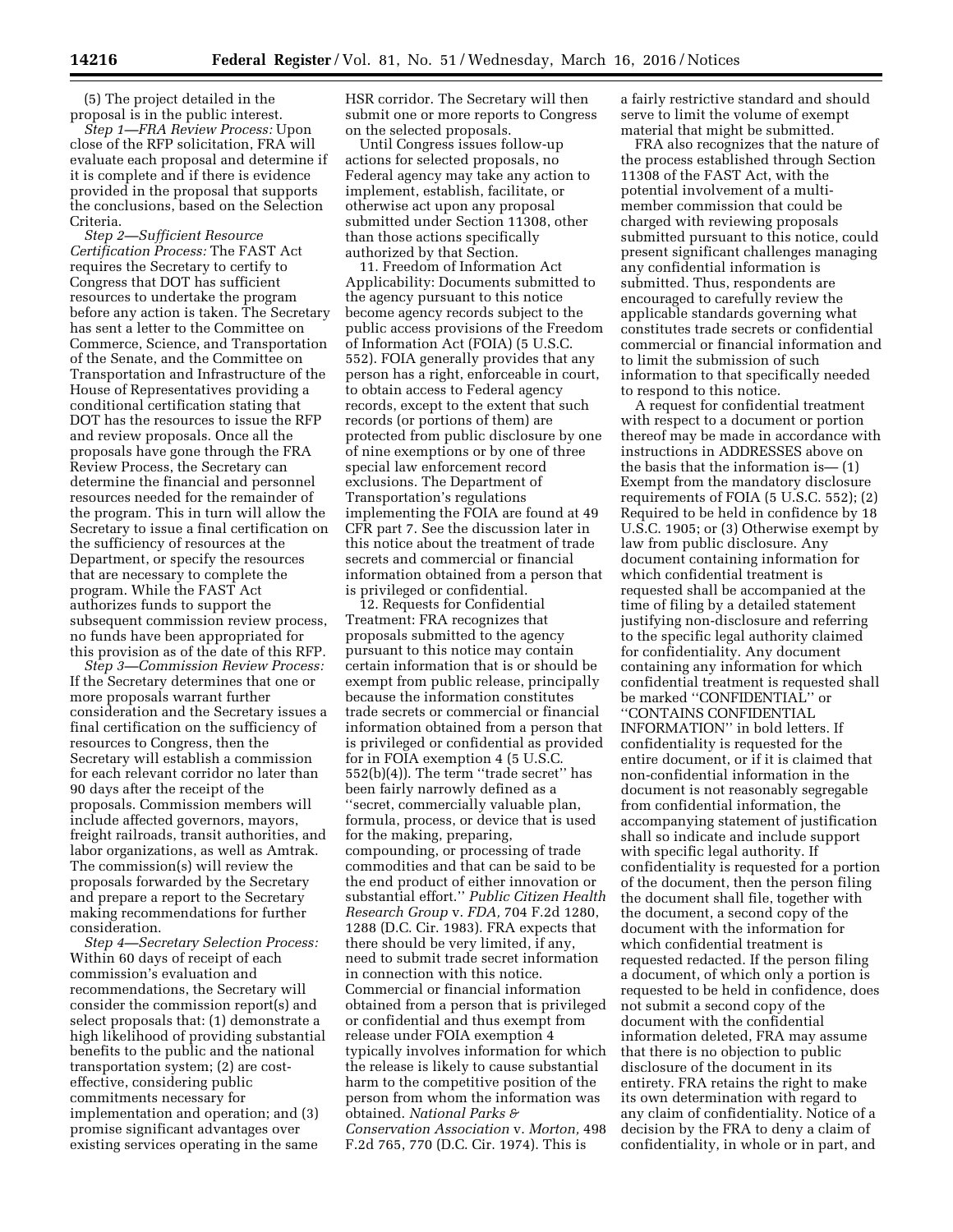(5) The project detailed in the proposal is in the public interest.

*Step 1—FRA Review Process:* Upon close of the RFP solicitation, FRA will evaluate each proposal and determine if it is complete and if there is evidence provided in the proposal that supports the conclusions, based on the Selection Criteria.

*Step 2—Sufficient Resource Certification Process:* The FAST Act requires the Secretary to certify to Congress that DOT has sufficient resources to undertake the program before any action is taken. The Secretary has sent a letter to the Committee on Commerce, Science, and Transportation of the Senate, and the Committee on Transportation and Infrastructure of the House of Representatives providing a conditional certification stating that DOT has the resources to issue the RFP and review proposals. Once all the proposals have gone through the FRA Review Process, the Secretary can determine the financial and personnel resources needed for the remainder of the program. This in turn will allow the Secretary to issue a final certification on the sufficiency of resources at the Department, or specify the resources that are necessary to complete the program. While the FAST Act authorizes funds to support the subsequent commission review process, no funds have been appropriated for this provision as of the date of this RFP.

*Step 3—Commission Review Process:*  If the Secretary determines that one or more proposals warrant further consideration and the Secretary issues a final certification on the sufficiency of resources to Congress, then the Secretary will establish a commission for each relevant corridor no later than 90 days after the receipt of the proposals. Commission members will include affected governors, mayors, freight railroads, transit authorities, and labor organizations, as well as Amtrak. The commission(s) will review the proposals forwarded by the Secretary and prepare a report to the Secretary making recommendations for further consideration.

*Step 4—Secretary Selection Process:*  Within 60 days of receipt of each commission's evaluation and recommendations, the Secretary will consider the commission report(s) and select proposals that: (1) demonstrate a high likelihood of providing substantial benefits to the public and the national transportation system; (2) are costeffective, considering public commitments necessary for implementation and operation; and (3) promise significant advantages over existing services operating in the same

HSR corridor. The Secretary will then submit one or more reports to Congress on the selected proposals.

Until Congress issues follow-up actions for selected proposals, no Federal agency may take any action to implement, establish, facilitate, or otherwise act upon any proposal submitted under Section 11308, other than those actions specifically authorized by that Section.

11. Freedom of Information Act Applicability: Documents submitted to the agency pursuant to this notice become agency records subject to the public access provisions of the Freedom of Information Act (FOIA) (5 U.S.C. 552). FOIA generally provides that any person has a right, enforceable in court, to obtain access to Federal agency records, except to the extent that such records (or portions of them) are protected from public disclosure by one of nine exemptions or by one of three special law enforcement record exclusions. The Department of Transportation's regulations implementing the FOIA are found at 49 CFR part 7. See the discussion later in this notice about the treatment of trade secrets and commercial or financial information obtained from a person that is privileged or confidential.

12. Requests for Confidential Treatment: FRA recognizes that proposals submitted to the agency pursuant to this notice may contain certain information that is or should be exempt from public release, principally because the information constitutes trade secrets or commercial or financial information obtained from a person that is privileged or confidential as provided for in FOIA exemption 4 (5 U.S.C. 552(b)(4)). The term ''trade secret'' has been fairly narrowly defined as a ''secret, commercially valuable plan, formula, process, or device that is used for the making, preparing, compounding, or processing of trade commodities and that can be said to be the end product of either innovation or substantial effort.'' *Public Citizen Health Research Group* v. *FDA,* 704 F.2d 1280, 1288 (D.C. Cir. 1983). FRA expects that there should be very limited, if any, need to submit trade secret information in connection with this notice. Commercial or financial information obtained from a person that is privileged or confidential and thus exempt from release under FOIA exemption 4 typically involves information for which the release is likely to cause substantial harm to the competitive position of the person from whom the information was obtained. *National Parks & Conservation Association* v. *Morton,* 498 F.2d 765, 770 (D.C. Cir. 1974). This is

a fairly restrictive standard and should serve to limit the volume of exempt material that might be submitted.

FRA also recognizes that the nature of the process established through Section 11308 of the FAST Act, with the potential involvement of a multimember commission that could be charged with reviewing proposals submitted pursuant to this notice, could present significant challenges managing any confidential information is submitted. Thus, respondents are encouraged to carefully review the applicable standards governing what constitutes trade secrets or confidential commercial or financial information and to limit the submission of such information to that specifically needed to respond to this notice.

A request for confidential treatment with respect to a document or portion thereof may be made in accordance with instructions in ADDRESSES above on the basis that the information is— (1) Exempt from the mandatory disclosure requirements of FOIA (5 U.S.C. 552); (2) Required to be held in confidence by 18 U.S.C. 1905; or (3) Otherwise exempt by law from public disclosure. Any document containing information for which confidential treatment is requested shall be accompanied at the time of filing by a detailed statement justifying non-disclosure and referring to the specific legal authority claimed for confidentiality. Any document containing any information for which confidential treatment is requested shall be marked ''CONFIDENTIAL'' or ''CONTAINS CONFIDENTIAL INFORMATION'' in bold letters. If confidentiality is requested for the entire document, or if it is claimed that non-confidential information in the document is not reasonably segregable from confidential information, the accompanying statement of justification shall so indicate and include support with specific legal authority. If confidentiality is requested for a portion of the document, then the person filing the document shall file, together with the document, a second copy of the document with the information for which confidential treatment is requested redacted. If the person filing a document, of which only a portion is requested to be held in confidence, does not submit a second copy of the document with the confidential information deleted, FRA may assume that there is no objection to public disclosure of the document in its entirety. FRA retains the right to make its own determination with regard to any claim of confidentiality. Notice of a decision by the FRA to deny a claim of confidentiality, in whole or in part, and